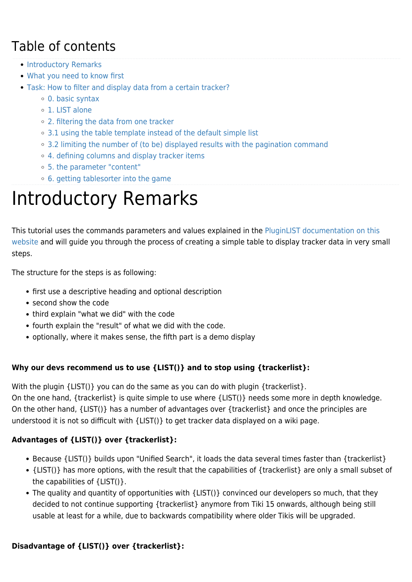### Table of contents

- [Introductory Remarks](#page--1-0)
- [What you need to know first](#page--1-0)
- [Task: How to filter and display data from a certain tracker?](#page--1-0)
	- [0. basic syntax](#page--1-0)
	- [1. LIST alone](#page--1-0)
	- [2. filtering the data from one tracker](#page--1-0)
	- <sup>o</sup> [3.1 using the table template instead of the default simple list](#page--1-0)
	- [3.2 limiting the number of \(to be\) displayed results with the pagination command](#page--1-0)
	- [4. defining columns and display tracker items](#page--1-0)
	- [5. the parameter "content"](#page--1-0)
	- [6. getting tablesorter into the game](#page--1-0)

# Introductory Remarks

This tutorial uses the commands parameters and values explained in the [PluginLIST documentation on this](https://doc.tiki.org/PluginList) [website](https://doc.tiki.org/PluginList) and will guide you through the process of creating a simple table to display tracker data in very small steps.

The structure for the steps is as following:

- first use a descriptive heading and optional description
- second show the code
- third explain "what we did" with the code
- fourth explain the "result" of what we did with the code.
- optionally, where it makes sense, the fifth part is a demo display

### **Why our devs recommend us to use {LIST()} and to stop using {trackerlist}:**

With the plugin {LIST()} you can do the same as you can do with plugin {trackerlist}. On the one hand, {trackerlist} is quite simple to use where {LIST()} needs some more in depth knowledge. On the other hand, {LIST()} has a number of advantages over {trackerlist} and once the principles are understood it is not so difficult with {LIST()} to get tracker data displayed on a wiki page.

### **Advantages of {LIST()} over {trackerlist}:**

- Because {LIST()} builds upon "Unified Search", it loads the data several times faster than {trackerlist}
- {LIST()} has more options, with the result that the capabilities of {trackerlist} are only a small subset of the capabilities of {LIST()}.
- The quality and quantity of opportunities with {LIST()} convinced our developers so much, that they decided to not continue supporting {trackerlist} anymore from Tiki 15 onwards, although being still usable at least for a while, due to backwards compatibility where older Tikis will be upgraded.

### **Disadvantage of {LIST()} over {trackerlist}:**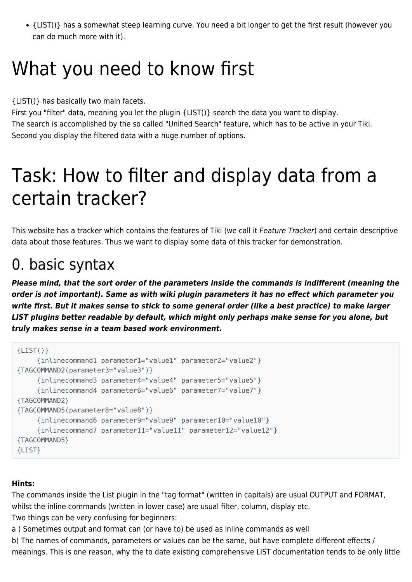{LIST()} has a somewhat steep learning curve. You need a bit longer to get the first result (however you can do much more with it).

# What you need to know first

{LIST()} has basically two main facets.

First you "filter" data, meaning you let the plugin {LIST()} search the data you want to display. The search is accomplished by the so called "Unified Search" feature, which has to be active in your Tiki. Second you display the filtered data with a huge number of options.

# Task: How to filter and display data from a certain tracker?

This website has a tracker which contains the features of Tiki (we call it Feature Tracker) and certain descriptive data about those features. Thus we want to display some data of this tracker for demonstration.

# 0. basic syntax

*Please mind, that the sort order of the parameters inside the commands is indifferent (meaning the order is not important). Same as with wiki plugin parameters it has no effect which parameter you write first. But it makes sense to stick to some general order (like a best practice) to make larger LIST plugins better readable by default, which might only perhaps make sense for you alone, but truly makes sense in a team based work environment.*

```
{LIST() } {inlinecommand1 parameter1="value1" parameter2="value2"}
{TAGCOMMAND2(parameter3="value3")}
      {inlinecommand3 parameter4="value4" parameter5="value5"}
      {inlinecommand4 parameter6="value6" parameter7="value7"}
{TAGCOMMAND2}
{TAGCOMMAND5(parameter8="value8")}
      {inlinecommand6 parameter9="value9" parameter10="value10"}
      {inlinecommand7 parameter11="value11" parameter12="value12"}
{TAGCOMMAND5}
{LIST}
```
### **Hints:**

The commands inside the List plugin in the "tag format" (written in capitals) are usual OUTPUT and FORMAT, whilst the inline commands (written in lower case) are usual filter, column, display etc. Two things can be very confusing for beginners:

a ) Sometimes output and format can (or have to) be used as inline commands as well

b) The names of commands, parameters or values can be the same, but have complete different effects / meanings. This is one reason, why the to date existing comprehensive LIST documentation tends to be only little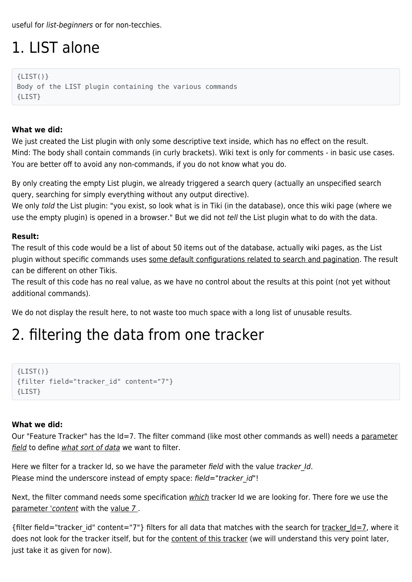useful for list-beginners or for non-tecchies.

# 1. LIST alone

 ${LIST() }$ Body of the LIST plugin containing the various commands {LIST}

#### **What we did:**

We just created the List plugin with only some descriptive text inside, which has no effect on the result. Mind: The body shall contain commands (in curly brackets). Wiki text is only for comments - in basic use cases. You are better off to avoid any non-commands, if you do not know what you do.

By only creating the empty List plugin, we already triggered a search query (actually an unspecified search query, searching for simply everything without any output directive).

We only told the List plugin: "you exist, so look what is in Tiki (in the database), once this wiki page (where we use the empty plugin) is opened in a browser." But we did not tell the List plugin what to do with the data.

#### **Result:**

The result of this code would be a list of about 50 items out of the database, actually wiki pages, as the List plugin without specific commands uses some default configurations related to search and pagination. The result can be different on other Tikis.

The result of this code has no real value, as we have no control about the results at this point (not yet without additional commands).

We do not display the result here, to not waste too much space with a long list of unusable results.

## 2. filtering the data from one tracker

```
{LIST() }{filter field="tracker_id" content="7"}
{LIST}
```
#### **What we did:**

Our "Feature Tracker" has the Id=7. The filter command (like most other commands as well) needs a parameter field to define what sort of data we want to filter.

Here we filter for a tracker Id, so we have the parameter field with the value tracker Id. Please mind the underscore instead of empty space: field="tracker\_id"!

Next, the filter command needs some specification which tracker Id we are looking for. There fore we use the parameter 'content with the value 7 .

{filter field="tracker id" content="7"} filters for all data that matches with the search for tracker  $Id=7$ , where it does not look for the tracker itself, but for the content of this tracker (we will understand this very point later, just take it as given for now).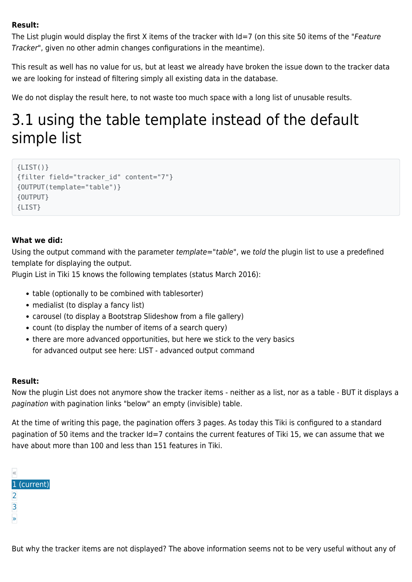#### **Result:**

The List plugin would display the first X items of the tracker with Id=7 (on this site 50 items of the "Feature Tracker", given no other admin changes configurations in the meantime).

This result as well has no value for us, but at least we already have broken the issue down to the tracker data we are looking for instead of filtering simply all existing data in the database.

We do not display the result here, to not waste too much space with a long list of unusable results.

## 3.1 using the table template instead of the default simple list

```
{LIST()}
{filter field="tracker_id" content="7"}
{OUTPUT(template="table")}
{OUTPUT}
{LIST}
```
#### **What we did:**

Using the output command with the parameter template="table", we told the plugin list to use a predefined template for displaying the output.

Plugin List in Tiki 15 knows the following templates (status March 2016):

- table (optionally to be combined with tablesorter)
- medialist (to display a fancy list)
- carousel (to display a Bootstrap Slideshow from a file gallery)
- count (to display the number of items of a search query)
- there are more advanced opportunities, but here we stick to the very basics for advanced output see here: [LIST - advanced output command](https://doc.tiki.org/tiki-editpage.php?page=LIST+-+advanced+output+command)

#### **Result:**

Now the plugin List does not anymore show the tracker items - neither as a list, nor as a table - BUT it displays a pagination with pagination links "below" an empty (invisible) table.

At the time of writing this page, the pagination offers 3 pages. As today this Tiki is configured to a standard pagination of 50 items and the tracker Id=7 contains the current features of Tiki 15, we can assume that we have about more than 100 and less than 151 features in Tiki.

| U |             |
|---|-------------|
|   | 1 (current) |
| 2 |             |
| 3 |             |
|   |             |
|   |             |

But why the tracker items are not displayed? The above information seems not to be very useful without any of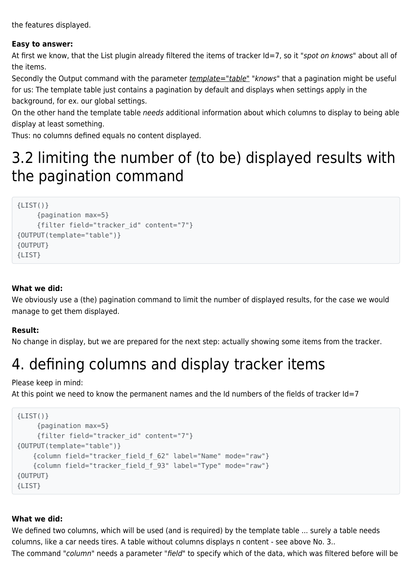the features displayed.

#### **Easy to answer:**

At first we know, that the List plugin already filtered the items of tracker Id=7, so it "spot on knows" about all of the items.

Secondly the Output command with the parameter *template="table"* "knows" that a pagination might be useful for us: The template table just contains a pagination by default and displays when settings apply in the background, for ex. our global settings.

On the other hand the template table needs additional information about which columns to display to being able display at least something.

Thus: no columns defined equals no content displayed.

### 3.2 limiting the number of (to be) displayed results with the pagination command

```
{LIST() } {pagination max=5}
      {filter field="tracker_id" content="7"}
{OUTPUT(template="table")}
{OUTPUT}
{LIST}
```
#### **What we did:**

We obviously use a (the) pagination command to limit the number of displayed results, for the case we would manage to get them displayed.

#### **Result:**

No change in display, but we are prepared for the next step: actually showing some items from the tracker.

# 4. defining columns and display tracker items

Please keep in mind:

At this point we need to know the permanent names and the Id numbers of the fields of tracker Id=7

```
{LIST() } {pagination max=5}
     {filter field="tracker_id" content="7"}
{OUTPUT(template="table")}
     {column field="tracker_field_f_62" label="Name" mode="raw"}
     {column field="tracker_field_f_93" label="Type" mode="raw"}
{OUTPUT}
{LIST}
```
#### **What we did:**

We defined two columns, which will be used (and is required) by the template table ... surely a table needs columns, like a car needs tires. A table without columns displays n content - see above No. 3.. The command "column" needs a parameter "field" to specify which of the data, which was filtered before will be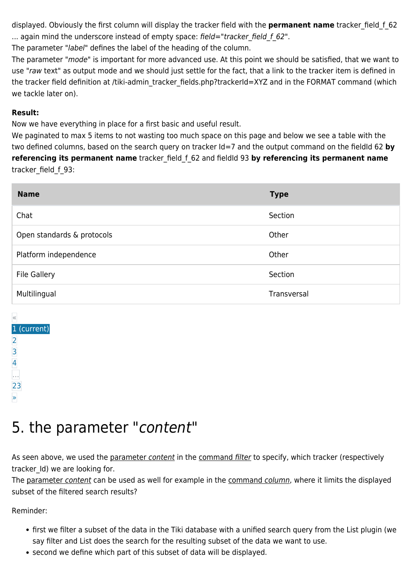displayed. Obviously the first column will display the tracker field with the **permanent name** tracker\_field\_f\_62 ... again mind the underscore instead of empty space: field="tracker\_field\_f\_62".

The parameter "label" defines the label of the heading of the column.

The parameter "mode" is important for more advanced use. At this point we should be satisfied, that we want to use "raw text" as output mode and we should just settle for the fact, that a link to the tracker item is defined in the tracker field definition at /tiki-admin\_tracker\_fields.php?trackerId=XYZ and in the FORMAT command (which we tackle later on).

#### **Result:**

Now we have everything in place for a first basic and useful result.

We paginated to max 5 items to not wasting too much space on this page and below we see a table with the two defined columns, based on the search query on tracker Id=7 and the output command on the fieldId 62 **by referencing its permanent name** tracker\_field\_f\_62 and fieldId 93 **by referencing its permanent name** tracker\_field\_f\_93:

| <b>Name</b>                | <b>Type</b> |
|----------------------------|-------------|
| Chat                       | Section     |
| Open standards & protocols | Other       |
| Platform independence      | Other       |
| <b>File Gallery</b>        | Section     |
| Multilingual               | Transversal |

| «              |
|----------------|
| (current)<br>1 |
| 2              |
| 3              |
|                |
|                |
| 23             |
|                |
|                |

### 5. the parameter "content"

As seen above, we used the parameter content in the command filter to specify, which tracker (respectively tracker Id) we are looking for.

The parameter content can be used as well for example in the command column, where it limits the displayed subset of the filtered search results?

Reminder:

- first we filter a subset of the data in the Tiki database with a unified search query from the List plugin (we say filter and List does the search for the resulting subset of the data we want to use.
- second we define which part of this subset of data will be displayed.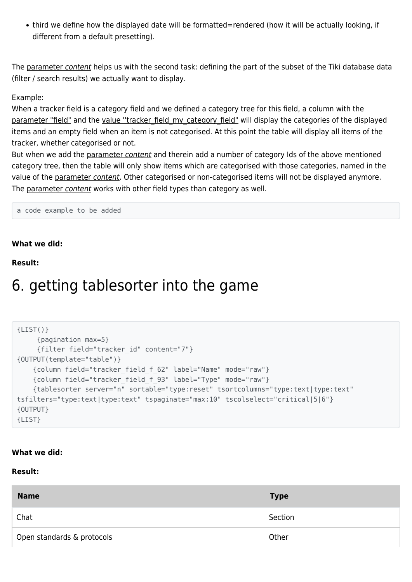third we define how the displayed date will be formatted=rendered (how it will be actually looking, if different from a default presetting).

The parameter content helps us with the second task: defining the part of the subset of the Tiki database data (filter / search results) we actually want to display.

#### Example:

When a tracker field is a category field and we defined a category tree for this field, a column with the parameter "field" and the value "tracker field my category field" will display the categories of the displayed items and an empty field when an item is not categorised. At this point the table will display all items of the tracker, whether categorised or not.

But when we add the parameter content and therein add a number of category Ids of the above mentioned category tree, then the table will only show items which are categorised with those categories, named in the value of the parameter content. Other categorised or non-categorised items will not be displayed anymore. The parameter content works with other field types than category as well.

a code example to be added

#### **What we did:**

**Result:**

### 6. getting tablesorter into the game

```
{LIST() } {pagination max=5}
      {filter field="tracker_id" content="7"}
{OUTPUT(template="table")}
     {column field="tracker_field_f_62" label="Name" mode="raw"}
     {column field="tracker_field_f_93" label="Type" mode="raw"}
     {tablesorter server="n" sortable="type:reset" tsortcolumns="type:text|type:text"
tsfilters="type:text|type:text" tspaginate="max:10" tscolselect="critical|5|6"}
{OUTPUT}
{LIST}
```
#### **What we did:**

**Result:**

| <b>Name</b>                | <b>Type</b> |
|----------------------------|-------------|
| Chat                       | Section     |
| Open standards & protocols | Other       |